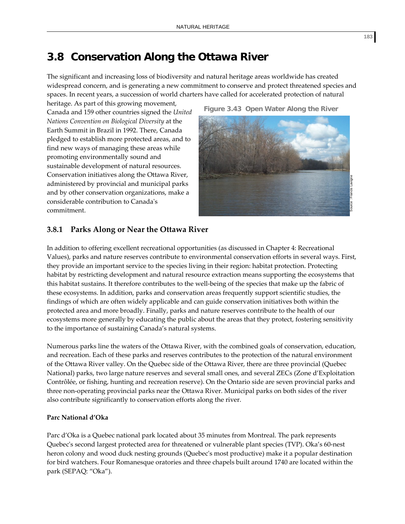# **3.8 Conservation Along the Ottawa River**

The significant and increasing loss of biodiversity and natural heritage areas worldwide has created widespread concern, and is generating a new commitment to conserve and protect threatened species and spaces. In recent years, a succession of world charters have called for accelerated protection of natural

heritage. As part of this growing movement, Canada and 159 other countries signed the *United Nations Convention on Biological Diversity* at the Earth Summit in Brazil in 1992. There, Canada pledged to establish more protected areas, and to find new ways of managing these areas while promoting environmentally sound and sustainable development of natural resources. Conservation initiatives along the Ottawa River, administered by provincial and municipal parks and by other conservation organizations, make a considerable contribution to Canadaʹs commitment.



# **3.8.1 Parks Along or Near the Ottawa River**

In addition to offering excellent recreational opportunities (as discussed in Chapter 4: Recreational Values), parks and nature reserves contribute to environmental conservation efforts in several ways. First, they provide an important service to the species living in their region: habitat protection. Protecting habitat by restricting development and natural resource extraction means supporting the ecosystems that this habitat sustains. It therefore contributes to the well‐being of the species that make up the fabric of these ecosystems. In addition, parks and conservation areas frequently support scientific studies, the findings of which are often widely applicable and can guide conservation initiatives both within the protected area and more broadly. Finally, parks and nature reserves contribute to the health of our ecosystems more generally by educating the public about the areas that they protect, fostering sensitivity to the importance of sustaining Canada's natural systems.

Numerous parks line the waters of the Ottawa River, with the combined goals of conservation, education, and recreation. Each of these parks and reserves contributes to the protection of the natural environment of the Ottawa River valley. On the Quebec side of the Ottawa River, there are three provincial (Quebec National) parks, two large nature reserves and several small ones, and several ZECs (Zone d'Exploitation Contrôlée, or fishing, hunting and recreation reserve). On the Ontario side are seven provincial parks and three non‐operating provincial parks near the Ottawa River. Municipal parks on both sides of the river also contribute significantly to conservation efforts along the river.

# **Parc National d'Oka**

Parc d'Oka is a Quebec national park located about 35 minutes from Montreal. The park represents Quebec's second largest protected area for threatened or vulnerable plant species (TVP). Oka's 60-nest heron colony and wood duck nesting grounds (Quebec's most productive) make it a popular destination for bird watchers. Four Romanesque oratories and three chapels built around 1740 are located within the park (SEPAQ: "Oka").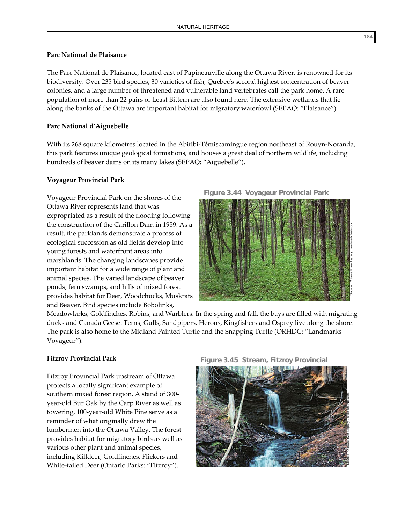#### **Parc National de Plaisance**

The Parc National de Plaisance, located east of Papineauville along the Ottawa River, is renowned for its biodiversity. Over 235 bird species, 30 varieties of fish, Quebecʹs second highest concentration of beaver colonies, and a large number of threatened and vulnerable land vertebrates call the park home. A rare population of more than 22 pairs of Least Bittern are also found here. The extensive wetlands that lie along the banks of the Ottawa are important habitat for migratory waterfowl (SEPAQ: "Plaisance").

### **Parc National d'Aiguebelle**

With its 268 square kilometres located in the Abitibi-Témiscamingue region northeast of Rouyn-Noranda, this park features unique geological formations, and houses a great deal of northern wildlife, including hundreds of beaver dams on its many lakes (SEPAQ: "Aiguebelle").

#### **Voyageur Provincial Park**

Voyageur Provincial Park on the shores of the Ottawa River represents land that was expropriated as a result of the flooding following the construction of the Carillon Dam in 1959. As a result, the parklands demonstrate a process of ecological succession as old fields develop into young forests and waterfront areas into marshlands. The changing landscapes provide important habitat for a wide range of plant and animal species. The varied landscape of beaver ponds, fern swamps, and hills of mixed forest provides habitat for Deer, Woodchucks, Muskrats and Beaver. Bird species include Bobolinks,





Meadowlarks, Goldfinches, Robins, and Warblers. In the spring and fall, the bays are filled with migrating ducks and Canada Geese. Terns, Gulls, Sandpipers, Herons, Kingfishers and Osprey live along the shore. The park is also home to the Midland Painted Turtle and the Snapping Turtle (ORHDC: "Landmarks – Voyageur").

# **Fitzroy Provincial Park**

Fitzroy Provincial Park upstream of Ottawa protects a locally significant example of southern mixed forest region. A stand of 300‐ year‐old Bur Oak by the Carp River as well as towering, 100‐year‐old White Pine serve as a reminder of what originally drew the lumbermen into the Ottawa Valley. The forest provides habitat for migratory birds as well as various other plant and animal species, including Killdeer, Goldfinches, Flickers and White‐tailed Deer (Ontario Parks: "Fitzroy").



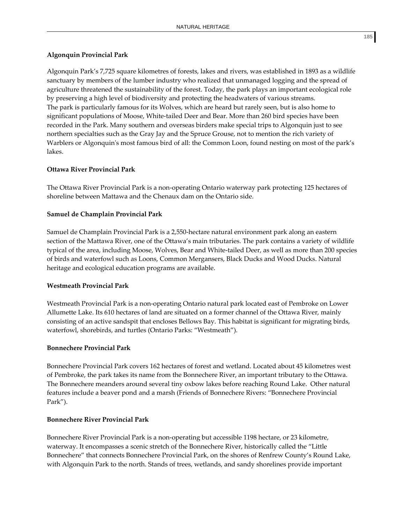# **Algonquin Provincial Park**

Algonquin Park's 7,725 square kilometres of forests, lakes and rivers, was established in 1893 as a wildlife sanctuary by members of the lumber industry who realized that unmanaged logging and the spread of agriculture threatened the sustainability of the forest. Today, the park plays an important ecological role by preserving a high level of biodiversity and protecting the headwaters of various streams. The park is particularly famous for its Wolves, which are heard but rarely seen, but is also home to significant populations of Moose, White-tailed Deer and Bear. More than 260 bird species have been recorded in the Park. Many southern and overseas birders make special trips to Algonquin just to see northern specialties such as the Gray Jay and the Spruce Grouse, not to mention the rich variety of Warblers or Algonquin's most famous bird of all: the Common Loon, found nesting on most of the park's lakes.

# **Ottawa River Provincial Park**

The Ottawa River Provincial Park is a non-operating Ontario waterway park protecting 125 hectares of shoreline between Mattawa and the Chenaux dam on the Ontario side.

# **Samuel de Champlain Provincial Park**

Samuel de Champlain Provincial Park is a 2,550‐hectare natural environment park along an eastern section of the Mattawa River, one of the Ottawa's main tributaries. The park contains a variety of wildlife typical of the area, including Moose, Wolves, Bear and White-tailed Deer, as well as more than 200 species of birds and waterfowl such as Loons, Common Mergansers, Black Ducks and Wood Ducks. Natural heritage and ecological education programs are available.

# **Westmeath Provincial Park**

Westmeath Provincial Park is a non‐operating Ontario natural park located east of Pembroke on Lower Allumette Lake. Its 610 hectares of land are situated on a former channel of the Ottawa River, mainly consisting of an active sandspit that encloses Bellows Bay. This habitat is significant for migrating birds, waterfowl, shorebirds, and turtles (Ontario Parks: "Westmeath").

# **Bonnechere Provincial Park**

Bonnechere Provincial Park covers 162 hectares of forest and wetland. Located about 45 kilometres west of Pembroke, the park takes its name from the Bonnechere River, an important tributary to the Ottawa. The Bonnechere meanders around several tiny oxbow lakes before reaching Round Lake. Other natural features include a beaver pond and a marsh (Friends of Bonnechere Rivers: "Bonnechere Provincial Park").

# **Bonnechere River Provincial Park**

Bonnechere River Provincial Park is a non‐operating but accessible 1198 hectare, or 23 kilometre, waterway. It encompasses a scenic stretch of the Bonnechere River, historically called the "Little Bonnechere" that connects Bonnechere Provincial Park, on the shores of Renfrew County's Round Lake, with Algonquin Park to the north. Stands of trees, wetlands, and sandy shorelines provide important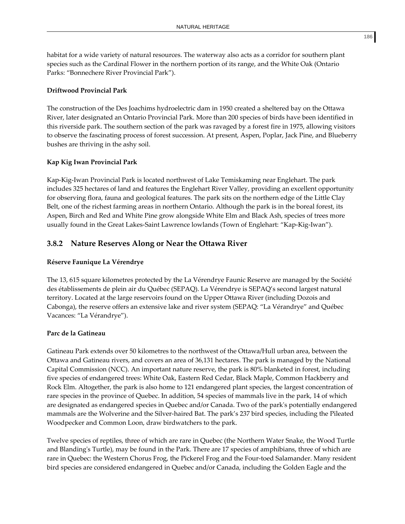habitat for a wide variety of natural resources. The waterway also acts as a corridor for southern plant species such as the Cardinal Flower in the northern portion of its range, and the White Oak (Ontario Parks: "Bonnechere River Provincial Park").

#### **Driftwood Provincial Park**

The construction of the Des Joachims hydroelectric dam in 1950 created a sheltered bay on the Ottawa River, later designated an Ontario Provincial Park. More than 200 species of birds have been identified in this riverside park. The southern section of the park was ravaged by a forest fire in 1975, allowing visitors to observe the fascinating process of forest succession. At present, Aspen, Poplar, Jack Pine, and Blueberry bushes are thriving in the ashy soil.

#### **Kap Kig Iwan Provincial Park**

Kap‐Kig‐Iwan Provincial Park is located northwest of Lake Temiskaming near Englehart. The park includes 325 hectares of land and features the Englehart River Valley, providing an excellent opportunity for observing flora, fauna and geological features. The park sits on the northern edge of the Little Clay Belt, one of the richest farming areas in northern Ontario. Although the park is in the boreal forest, its Aspen, Birch and Red and White Pine grow alongside White Elm and Black Ash, species of trees more usually found in the Great Lakes‐Saint Lawrence lowlands (Town of Englehart: "Kap‐Kig‐Iwan").

# **3.8.2 Nature Reserves Along or Near the Ottawa River**

#### **Réserve Faunique La Vérendrye**

The 13, 615 square kilometres protected by the La Vérendrye Faunic Reserve are managed by the Société des établissements de plein air du Québec (SEPAQ). La Vérendrye is SEPAQ's second largest natural territory. Located at the large reservoirs found on the Upper Ottawa River (including Dozois and Cabonga), the reserve offers an extensive lake and river system (SEPAQ: "La Vérandrye" and Québec Vacances: "La Vérandrye").

#### **Parc de la Gatineau**

Gatineau Park extends over 50 kilometres to the northwest of the Ottawa/Hull urban area, between the Ottawa and Gatineau rivers, and covers an area of 36,131 hectares. The park is managed by the National Capital Commission (NCC). An important nature reserve, the park is 80% blanketed in forest, including five species of endangered trees: White Oak, Eastern Red Cedar, Black Maple, Common Hackberry and Rock Elm. Altogether, the park is also home to 121 endangered plant species, the largest concentration of rare species in the province of Quebec. In addition, 54 species of mammals live in the park, 14 of which are designated as endangered species in Quebec and/or Canada. Two of the parkʹs potentially endangered mammals are the Wolverine and the Silver‐haired Bat. The park's 237 bird species, including the Pileated Woodpecker and Common Loon, draw birdwatchers to the park.

Twelve species of reptiles, three of which are rare in Quebec (the Northern Water Snake, the Wood Turtle and Blandingʹs Turtle), may be found in the Park. There are 17 species of amphibians, three of which are rare in Quebec: the Western Chorus Frog, the Pickerel Frog and the Four-toed Salamander. Many resident bird species are considered endangered in Quebec and/or Canada, including the Golden Eagle and the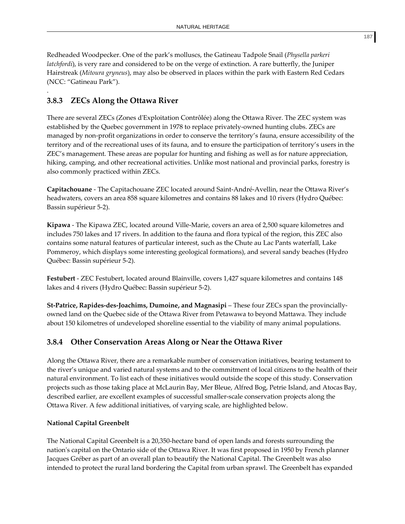Redheaded Woodpecker. One of the park's molluscs, the Gatineau Tadpole Snail (*Physella parkeri latchfordi*), is very rare and considered to be on the verge of extinction. A rare butterfly, the Juniper Hairstreak (*Mitoura gryneus*), may also be observed in places within the park with Eastern Red Cedars (NCC: "Gatineau Park").

# **3.8.3 ZECs Along the Ottawa River**

.

There are several ZECs (Zones dʹExploitation Contrôlée) along the Ottawa River. The ZEC system was established by the Quebec government in 1978 to replace privately‐owned hunting clubs. ZECs are managed by non‐profit organizations in order to conserve the territory's fauna, ensure accessibility of the territory and of the recreational uses of its fauna, and to ensure the participation of territory's users in the ZEC's management. These areas are popular for hunting and fishing as well as for nature appreciation, hiking, camping, and other recreational activities. Unlike most national and provincial parks, forestry is also commonly practiced within ZECs.

**Capitachouane** ‐ The Capitachouane ZEC located around Saint‐André‐Avellin, near the Ottawa River's headwaters, covers an area 858 square kilometres and contains 88 lakes and 10 rivers (Hydro Québec: Bassin supérieur 5‐2).

**Kipawa** ‐ The Kipawa ZEC, located around Ville‐Marie, covers an area of 2,500 square kilometres and includes 750 lakes and 17 rivers. In addition to the fauna and flora typical of the region, this ZEC also contains some natural features of particular interest, such as the Chute au Lac Pants waterfall, Lake Pommeroy, which displays some interesting geological formations), and several sandy beaches (Hydro Québec: Bassin supérieur 5‐2).

**Festubert** ‐ ZEC Festubert, located around Blainville, covers 1,427 square kilometres and contains 148 lakes and 4 rivers (Hydro Québec: Bassin supérieur 5‐2).

**St‐Patrice, Rapides‐des‐Joachims, Dumoine, and Magnasipi** – These four ZECs span the provincially‐ owned land on the Quebec side of the Ottawa River from Petawawa to beyond Mattawa. They include about 150 kilometres of undeveloped shoreline essential to the viability of many animal populations.

# **3.8.4 Other Conservation Areas Along or Near the Ottawa River**

Along the Ottawa River, there are a remarkable number of conservation initiatives, bearing testament to the river's unique and varied natural systems and to the commitment of local citizens to the health of their natural environment. To list each of these initiatives would outside the scope of this study. Conservation projects such as those taking place at McLaurin Bay, Mer Bleue, Alfred Bog, Petrie Island, and Atocas Bay, described earlier, are excellent examples of successful smaller-scale conservation projects along the Ottawa River. A few additional initiatives, of varying scale, are highlighted below.

# **National Capital Greenbelt**

The National Capital Greenbelt is a 20,350‐hectare band of open lands and forests surrounding the nationʹs capital on the Ontario side of the Ottawa River. It was first proposed in 1950 by French planner Jacques Gréber as part of an overall plan to beautify the National Capital. The Greenbelt was also intended to protect the rural land bordering the Capital from urban sprawl. The Greenbelt has expanded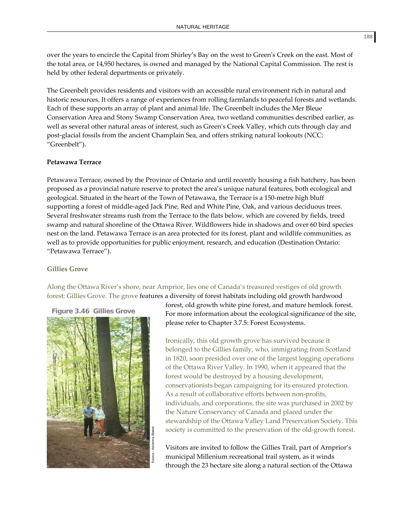over the years to encircle the Capital from Shirley's Bay on the west to Greenʹs Creek on the east. Most of the total area, or 14,950 hectares, is owned and managed by the National Capital Commission. The rest is held by other federal departments or privately.

The Greenbelt provides residents and visitors with an accessible rural environment rich in natural and historic resources. It offers a range of experiences from rolling farmlands to peaceful forests and wetlands. Each of these supports an array of plant and animal life. The Greenbelt includes the Mer Bleue Conservation Area and Stony Swamp Conservation Area, two wetland communities described earlier, as well as several other natural areas of interest, such as Greenʹs Creek Valley, which cuts through clay and post‐glacial fossils from the ancient Champlain Sea, and offers striking natural lookouts (NCC: "Greenbelt").

#### **Petawawa Terrace**

Petawawa Terrace, owned by the Province of Ontario and until recently housing a fish hatchery, has been proposed as a provincial nature reserve to protect the area's unique natural features, both ecological and geological. Situated in the heart of the Town of Petawawa, the Terrace is a 150‐metre high bluff supporting a forest of middle‐aged Jack Pine, Red and White Pine, Oak, and various deciduous trees. Several freshwater streams rush from the Terrace to the flats below, which are covered by fields, treed swamp and natural shoreline of the Ottawa River. Wildflowers hide in shadows and over 60 bird species nest on the land. Petawawa Terrace is an area protected for its forest, plant and wildlife communities, as well as to provide opportunities for public enjoyment, research, and education (Destination Ontario: "Petawawa Terrace").

#### **Gillies Grove**

Along the Ottawa River's shore, near Arnprior, lies one of Canada's treasured vestiges of old growth forest: Gillies Grove. The grove features a diversity of forest habitats including old growth hardwood

**Figure 3.46 Gillies Grove** 



forest, old growth white pine forest, and mature hemlock forest. For more information about the ecological significance of the site, please refer to Chapter 3.7.5: Forest Ecosystems.

Ironically, this old growth grove has survived because it belonged to the Gillies family, who, immigrating from Scotland in 1820, soon presided over one of the largest logging operations of the Ottawa River Valley. In 1990, when it appeared that the forest would be destroyed by a housing development, conservationists began campaigning for its ensured protection. As a result of collaborative efforts between non-profits, individuals, and corporations, the site was purchased in 2002 by the Nature Conservancy of Canada and placed under the stewardship of the Ottawa Valley Land Preservation Society. This society is committed to the preservation of the old‐growth forest.

Visitors are invited to follow the Gillies Trail, part of Arnprior's municipal Millenium recreational trail system, as it winds through the 23 hectare site along a natural section of the Ottawa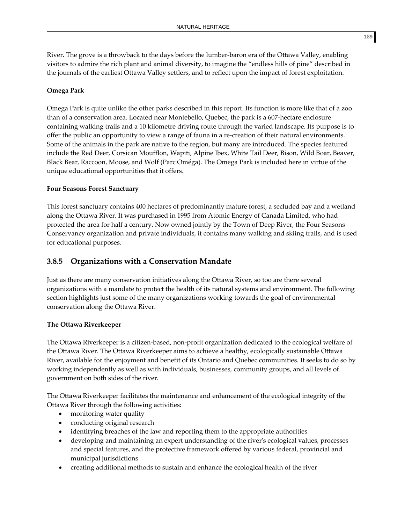River. The grove is a throwback to the days before the lumber‐baron era of the Ottawa Valley, enabling visitors to admire the rich plant and animal diversity, to imagine the "endless hills of pine" described in the journals of the earliest Ottawa Valley settlers, and to reflect upon the impact of forest exploitation.

# **Omega Park**

Omega Park is quite unlike the other parks described in this report. Its function is more like that of a zoo than of a conservation area. Located near Montebello, Quebec, the park is a 607‐hectare enclosure containing walking trails and a 10 kilometre driving route through the varied landscape. Its purpose is to offer the public an opportunity to view a range of fauna in a re‐creation of their natural environments. Some of the animals in the park are native to the region, but many are introduced. The species featured include the Red Deer, Corsican Moufflon, Wapiti, Alpine Ibex, White Tail Deer, Bison, Wild Boar, Beaver, Black Bear, Raccoon, Moose, and Wolf (Parc Oméga). The Omega Park is included here in virtue of the unique educational opportunities that it offers.

# **Four Seasons Forest Sanctuary**

This forest sanctuary contains 400 hectares of predominantly mature forest, a secluded bay and a wetland along the Ottawa River. It was purchased in 1995 from Atomic Energy of Canada Limited, who had protected the area for half a century. Now owned jointly by the Town of Deep River, the Four Seasons Conservancy organization and private individuals, it contains many walking and skiing trails, and is used for educational purposes.

# **3.8.5 Organizations with a Conservation Mandate**

Just as there are many conservation initiatives along the Ottawa River, so too are there several organizations with a mandate to protect the health of its natural systems and environment. The following section highlights just some of the many organizations working towards the goal of environmental conservation along the Ottawa River.

# **The Ottawa Riverkeeper**

The Ottawa Riverkeeper is a citizen-based, non-profit organization dedicated to the ecological welfare of the Ottawa River. The Ottawa Riverkeeper aims to achieve a healthy, ecologically sustainable Ottawa River, available for the enjoyment and benefit of its Ontario and Quebec communities. It seeks to do so by working independently as well as with individuals, businesses, community groups, and all levels of government on both sides of the river.

The Ottawa Riverkeeper facilitates the maintenance and enhancement of the ecological integrity of the Ottawa River through the following activities:

- monitoring water quality
- conducting original research
- identifying breaches of the law and reporting them to the appropriate authorities
- developing and maintaining an expert understanding of the riverʹs ecological values, processes and special features, and the protective framework offered by various federal, provincial and municipal jurisdictions
- creating additional methods to sustain and enhance the ecological health of the river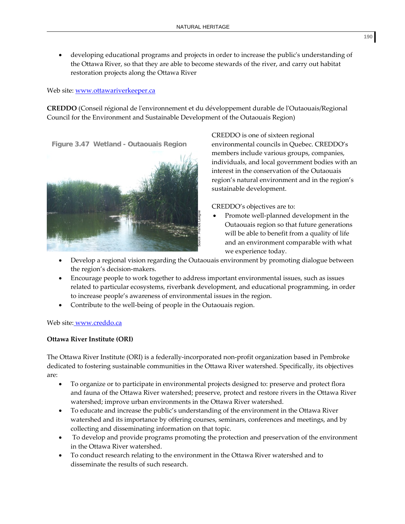developing educational programs and projects in order to increase the public's understanding of the Ottawa River, so that they are able to become stewards of the river, and carry out habitat restoration projects along the Ottawa River

# Web site: www.ottawariverkeeper.ca

**CREDDO** (Conseil régional de lʹenvironnement et du développement durable de lʹOutaouais/Regional Council for the Environment and Sustainable Development of the Outaouais Region)

**Figure 3.47 Wetland - Outaouais Region**



CREDDO is one of sixteen regional environmental councils in Quebec. CREDDO's members include various groups, companies, individuals, and local government bodies with an interest in the conservation of the Outaouais region's natural environment and in the region's sustainable development.

CREDDO's objectives are to:

- Promote well‐planned development in the Outaouais region so that future generations will be able to benefit from a quality of life and an environment comparable with what we experience today.
- Develop a regional vision regarding the Outaouais environment by promoting dialogue between the region's decision‐makers.
- Encourage people to work together to address important environmental issues, such as issues related to particular ecosystems, riverbank development, and educational programming, in order to increase people's awareness of environmental issues in the region.
- Contribute to the well‐being of people in the Outaouais region.

# Web site: www.creddo.ca

# **Ottawa River Institute (ORI)**

The Ottawa River Institute (ORI) is a federally‐incorporated non‐profit organization based in Pembroke dedicated to fostering sustainable communities in the Ottawa River watershed. Specifically, its objectives are:

- To organize or to participate in environmental projects designed to: preserve and protect flora and fauna of the Ottawa River watershed; preserve, protect and restore rivers in the Ottawa River watershed; improve urban environments in the Ottawa River watershed.
- To educate and increase the public's understanding of the environment in the Ottawa River watershed and its importance by offering courses, seminars, conferences and meetings, and by collecting and disseminating information on that topic.
- To develop and provide programs promoting the protection and preservation of the environment in the Ottawa River watershed.
- To conduct research relating to the environment in the Ottawa River watershed and to disseminate the results of such research.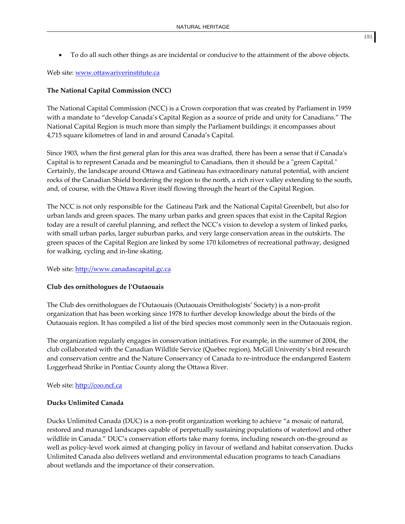• To do all such other things as are incidental or conducive to the attainment of the above objects.

Web site: www.ottawariverinstitute.ca

# **The National Capital Commission (NCC)**

The National Capital Commission (NCC) is a Crown corporation that was created by Parliament in 1959 with a mandate to "develop Canada's Capital Region as a source of pride and unity for Canadians." The National Capital Region is much more than simply the Parliament buildings: it encompasses about 4,715 square kilometres of land in and around Canada's Capital.

Since 1903, when the first general plan for this area was drafted, there has been a sense that if Canadaʹs Capital is to represent Canada and be meaningful to Canadians, then it should be a "green Capital." Certainly, the landscape around Ottawa and Gatineau has extraordinary natural potential, with ancient rocks of the Canadian Shield bordering the region to the north, a rich river valley extending to the south, and, of course, with the Ottawa River itself flowing through the heart of the Capital Region.

The NCC is not only responsible for the Gatineau Park and the National Capital Greenbelt, but also for urban lands and green spaces. The many urban parks and green spaces that exist in the Capital Region today are a result of careful planning, and reflect the NCC's vision to develop a system of linked parks, with small urban parks, larger suburban parks, and very large conservation areas in the outskirts. The green spaces of the Capital Region are linked by some 170 kilometres of recreational pathway, designed for walking, cycling and in‐line skating.

# Web site: http://www.canadascapital.gc.ca

# **Club des ornithologues de l'Outaouais**

The Club des ornithologues de l'Outaouais (Outaouais Ornithologists' Society) is a non‐profit organization that has been working since 1978 to further develop knowledge about the birds of the Outaouais region. It has compiled a list of the bird species most commonly seen in the Outaouais region.

The organization regularly engages in conservation initiatives. For example, in the summer of 2004, the club collaborated with the Canadian Wildlife Service (Quebec region), McGill University's bird research and conservation centre and the Nature Conservancy of Canada to re-introduce the endangered Eastern Loggerhead Shrike in Pontiac County along the Ottawa River.

# Web site: http://coo.ncf.ca

# **Ducks Unlimited Canada**

Ducks Unlimited Canada (DUC) is a non‐profit organization working to achieve "a mosaic of natural, restored and managed landscapes capable of perpetually sustaining populations of waterfowl and other wildlife in Canada." DUC's conservation efforts take many forms, including research on-the-ground as well as policy-level work aimed at changing policy in favour of wetland and habitat conservation. Ducks Unlimited Canada also delivers wetland and environmental education programs to teach Canadians about wetlands and the importance of their conservation.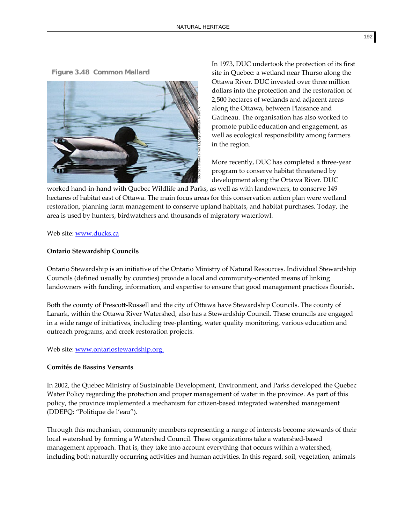**Figure 3.48 Common Mallard** 



In 1973, DUC undertook the protection of its first site in Quebec: a wetland near Thurso along the Ottawa River. DUC invested over three million dollars into the protection and the restoration of 2,500 hectares of wetlands and adjacent areas along the Ottawa, between Plaisance and Gatineau. The organisation has also worked to promote public education and engagement, as well as ecological responsibility among farmers in the region.

More recently, DUC has completed a three‐year program to conserve habitat threatened by development along the Ottawa River. DUC

worked hand‐in‐hand with Quebec Wildlife and Parks, as well as with landowners, to conserve 149 hectares of habitat east of Ottawa. The main focus areas for this conservation action plan were wetland restoration, planning farm management to conserve upland habitats, and habitat purchases. Today, the area is used by hunters, birdwatchers and thousands of migratory waterfowl.

#### Web site: www.ducks.ca

#### **Ontario Stewardship Councils**

Ontario Stewardship is an initiative of the Ontario Ministry of Natural Resources. Individual Stewardship Councils (defined usually by counties) provide a local and community‐oriented means of linking landowners with funding, information, and expertise to ensure that good management practices flourish.

Both the county of Prescott‐Russell and the city of Ottawa have Stewardship Councils. The county of Lanark, within the Ottawa River Watershed, also has a Stewardship Council. These councils are engaged in a wide range of initiatives, including tree‐planting, water quality monitoring, various education and outreach programs, and creek restoration projects.

#### Web site: www.ontariostewardship.org.

#### **Comités de Bassins Versants**

In 2002, the Quebec Ministry of Sustainable Development, Environment, and Parks developed the Quebec Water Policy regarding the protection and proper management of water in the province. As part of this policy, the province implemented a mechanism for citizen-based integrated watershed management (DDEPQ: "Politique de l'eau").

Through this mechanism, community members representing a range of interests become stewards of their local watershed by forming a Watershed Council. These organizations take a watershed‐based management approach. That is, they take into account everything that occurs within a watershed, including both naturally occurring activities and human activities. In this regard, soil, vegetation, animals